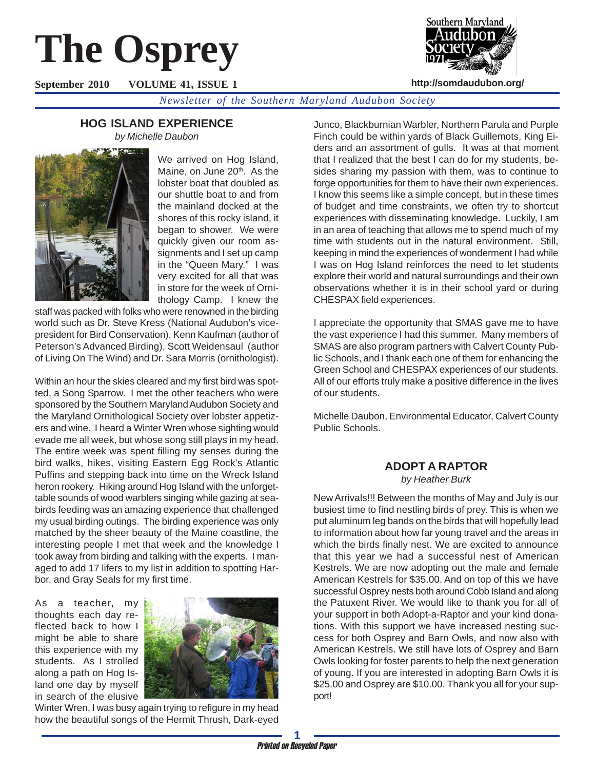# **The Osprey**

**September 2010 VOLUME 41, ISSUE 1**



**http://somdaudubon.org/**

*Newsletter of the Southern Maryland Audubon Society*

# **HOG ISLAND EXPERIENCE**

*by Michelle Daubon*



We arrived on Hog Island, Maine, on June 20<sup>th</sup>. As the lobster boat that doubled as our shuttle boat to and from the mainland docked at the shores of this rocky island, it began to shower. We were quickly given our room assignments and I set up camp in the "Queen Mary." I was very excited for all that was in store for the week of Ornithology Camp. I knew the

staff was packed with folks who were renowned in the birding world such as Dr. Steve Kress (National Audubon's vicepresident for Bird Conservation), Kenn Kaufman (author of Peterson's Advanced Birding), Scott Weidensaul (author of Living On The Wind) and Dr. Sara Morris (ornithologist).

Within an hour the skies cleared and my first bird was spotted, a Song Sparrow. I met the other teachers who were sponsored by the Southern Maryland Audubon Society and the Maryland Ornithological Society over lobster appetizers and wine. I heard a Winter Wren whose sighting would evade me all week, but whose song still plays in my head. The entire week was spent filling my senses during the bird walks, hikes, visiting Eastern Egg Rock's Atlantic Puffins and stepping back into time on the Wreck Island heron rookery. Hiking around Hog Island with the unforgettable sounds of wood warblers singing while gazing at seabirds feeding was an amazing experience that challenged my usual birding outings. The birding experience was only matched by the sheer beauty of the Maine coastline, the interesting people I met that week and the knowledge I took away from birding and talking with the experts. I managed to add 17 lifers to my list in addition to spotting Harbor, and Gray Seals for my first time.

As a teacher, my thoughts each day reflected back to how I might be able to share this experience with my students. As I strolled along a path on Hog Island one day by myself in search of the elusive



Winter Wren, I was busy again trying to refigure in my head how the beautiful songs of the Hermit Thrush, Dark-eyed

Junco, Blackburnian Warbler, Northern Parula and Purple Finch could be within yards of Black Guillemots, King Eiders and an assortment of gulls. It was at that moment that I realized that the best I can do for my students, besides sharing my passion with them, was to continue to forge opportunities for them to have their own experiences. I know this seems like a simple concept, but in these times of budget and time constraints, we often try to shortcut experiences with disseminating knowledge. Luckily, I am in an area of teaching that allows me to spend much of my time with students out in the natural environment. Still, keeping in mind the experiences of wonderment I had while I was on Hog Island reinforces the need to let students explore their world and natural surroundings and their own observations whether it is in their school yard or during CHESPAX field experiences.

I appreciate the opportunity that SMAS gave me to have the vast experience I had this summer. Many members of SMAS are also program partners with Calvert County Public Schools, and I thank each one of them for enhancing the Green School and CHESPAX experiences of our students. All of our efforts truly make a positive difference in the lives of our students.

Michelle Daubon, Environmental Educator, Calvert County Public Schools.

# **ADOPT A RAPTOR**

*by Heather Burk*

New Arrivals!!! Between the months of May and July is our busiest time to find nestling birds of prey. This is when we put aluminum leg bands on the birds that will hopefully lead to information about how far young travel and the areas in which the birds finally nest. We are excited to announce that this year we had a successful nest of American Kestrels. We are now adopting out the male and female American Kestrels for \$35.00. And on top of this we have successful Osprey nests both around Cobb Island and along the Patuxent River. We would like to thank you for all of your support in both Adopt-a-Raptor and your kind donations. With this support we have increased nesting success for both Osprey and Barn Owls, and now also with American Kestrels. We still have lots of Osprey and Barn Owls looking for foster parents to help the next generation of young. If you are interested in adopting Barn Owls it is \$25.00 and Osprey are \$10.00. Thank you all for your support!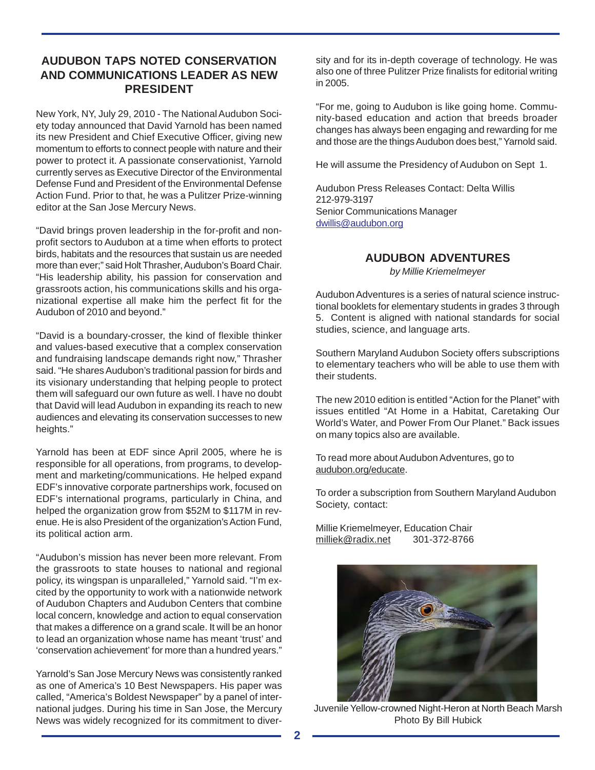# **AUDUBON TAPS NOTED CONSERVATION AND COMMUNICATIONS LEADER AS NEW PRESIDENT**

New York, NY, July 29, 2010 - The National Audubon Society today announced that David Yarnold has been named its new President and Chief Executive Officer, giving new momentum to efforts to connect people with nature and their power to protect it. A passionate conservationist, Yarnold currently serves as Executive Director of the Environmental Defense Fund and President of the Environmental Defense Action Fund. Prior to that, he was a Pulitzer Prize-winning editor at the San Jose Mercury News.

"David brings proven leadership in the for-profit and nonprofit sectors to Audubon at a time when efforts to protect birds, habitats and the resources that sustain us are needed more than ever;" said Holt Thrasher, Audubon's Board Chair. "His leadership ability, his passion for conservation and grassroots action, his communications skills and his organizational expertise all make him the perfect fit for the Audubon of 2010 and beyond."

"David is a boundary-crosser, the kind of flexible thinker and values-based executive that a complex conservation and fundraising landscape demands right now," Thrasher said. "He shares Audubon's traditional passion for birds and its visionary understanding that helping people to protect them will safeguard our own future as well. I have no doubt that David will lead Audubon in expanding its reach to new audiences and elevating its conservation successes to new heights."

Yarnold has been at EDF since April 2005, where he is responsible for all operations, from programs, to development and marketing/communications. He helped expand EDF's innovative corporate partnerships work, focused on EDF's international programs, particularly in China, and helped the organization grow from \$52M to \$117M in revenue. He is also President of the organization's Action Fund, its political action arm.

"Audubon's mission has never been more relevant. From the grassroots to state houses to national and regional policy, its wingspan is unparalleled," Yarnold said. "I'm excited by the opportunity to work with a nationwide network of Audubon Chapters and Audubon Centers that combine local concern, knowledge and action to equal conservation that makes a difference on a grand scale. It will be an honor to lead an organization whose name has meant 'trust' and 'conservation achievement' for more than a hundred years."

Yarnold's San Jose Mercury News was consistently ranked as one of America's 10 Best Newspapers. His paper was called, "America's Boldest Newspaper" by a panel of international judges. During his time in San Jose, the Mercury News was widely recognized for its commitment to diversity and for its in-depth coverage of technology. He was also one of three Pulitzer Prize finalists for editorial writing in 2005.

"For me, going to Audubon is like going home. Community-based education and action that breeds broader changes has always been engaging and rewarding for me and those are the things Audubon does best," Yarnold said.

He will assume the Presidency of Audubon on Sept 1.

Audubon Press Releases Contact: Delta Willis 212-979-3197 Senior Communications Manager dwillis@audubon.org

**AUDUBON ADVENTURES**

*by Millie Kriemelmeyer*

Audubon Adventures is a series of natural science instructional booklets for elementary students in grades 3 through 5. Content is aligned with national standards for social studies, science, and language arts.

Southern Maryland Audubon Society offers subscriptions to elementary teachers who will be able to use them with their students.

The new 2010 edition is entitled "Action for the Planet" with issues entitled "At Home in a Habitat, Caretaking Our World's Water, and Power From Our Planet." Back issues on many topics also are available.

To read more about Audubon Adventures, go to audubon.org/educate.

To order a subscription from Southern Maryland Audubon Society, contact:

Millie Kriemelmeyer, Education Chair milliek@radix.net 301-372-8766



Juvenile Yellow-crowned Night-Heron at North Beach Marsh Photo By Bill Hubick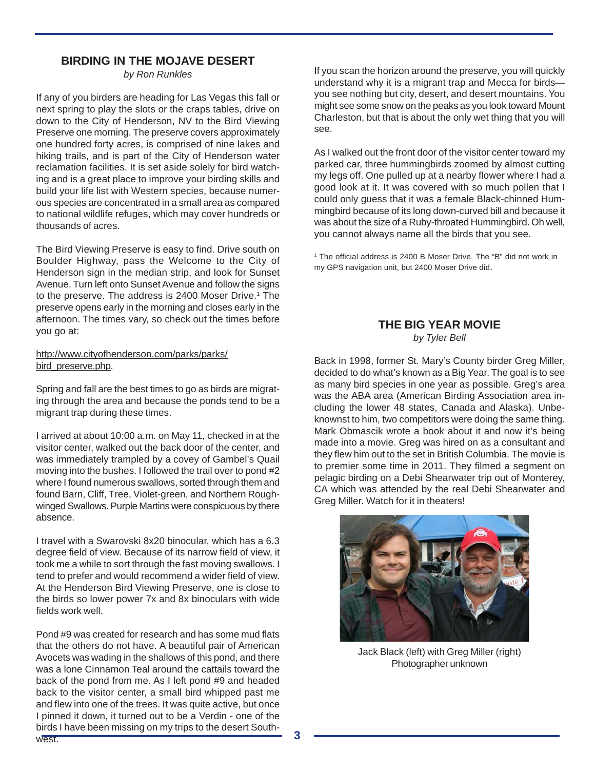## **BIRDING IN THE MOJAVE DESERT**

*by Ron Runkles*

If any of you birders are heading for Las Vegas this fall or next spring to play the slots or the craps tables, drive on down to the City of Henderson, NV to the Bird Viewing Preserve one morning. The preserve covers approximately one hundred forty acres, is comprised of nine lakes and hiking trails, and is part of the City of Henderson water reclamation facilities. It is set aside solely for bird watching and is a great place to improve your birding skills and build your life list with Western species, because numerous species are concentrated in a small area as compared to national wildlife refuges, which may cover hundreds or thousands of acres.

The Bird Viewing Preserve is easy to find. Drive south on Boulder Highway, pass the Welcome to the City of Henderson sign in the median strip, and look for Sunset Avenue. Turn left onto Sunset Avenue and follow the signs to the preserve. The address is 2400 Moser Drive.<sup>1</sup> The preserve opens early in the morning and closes early in the afternoon. The times vary, so check out the times before you go at:

#### http://www.cityofhenderson.com/parks/parks/ bird\_preserve.php.

Spring and fall are the best times to go as birds are migrating through the area and because the ponds tend to be a migrant trap during these times.

I arrived at about 10:00 a.m. on May 11, checked in at the visitor center, walked out the back door of the center, and was immediately trampled by a covey of Gambel's Quail moving into the bushes. I followed the trail over to pond #2 where I found numerous swallows, sorted through them and found Barn, Cliff, Tree, Violet-green, and Northern Roughwinged Swallows. Purple Martins were conspicuous by there absence.

I travel with a Swarovski 8x20 binocular, which has a 6.3 degree field of view. Because of its narrow field of view, it took me a while to sort through the fast moving swallows. I tend to prefer and would recommend a wider field of view. At the Henderson Bird Viewing Preserve, one is close to the birds so lower power 7x and 8x binoculars with wide fields work well.

Pond #9 was created for research and has some mud flats that the others do not have. A beautiful pair of American Avocets was wading in the shallows of this pond, and there was a lone Cinnamon Teal around the cattails toward the back of the pond from me. As I left pond #9 and headed back to the visitor center, a small bird whipped past me and flew into one of the trees. It was quite active, but once I pinned it down, it turned out to be a Verdin - one of the birds I have been missing on my trips to the desert Southwest.

If you scan the horizon around the preserve, you will quickly understand why it is a migrant trap and Mecca for birds you see nothing but city, desert, and desert mountains. You might see some snow on the peaks as you look toward Mount Charleston, but that is about the only wet thing that you will see.

As I walked out the front door of the visitor center toward my parked car, three hummingbirds zoomed by almost cutting my legs off. One pulled up at a nearby flower where I had a good look at it. It was covered with so much pollen that I could only guess that it was a female Black-chinned Hummingbird because of its long down-curved bill and because it was about the size of a Ruby-throated Hummingbird. Oh well, you cannot always name all the birds that you see.

<sup>1</sup> The official address is 2400 B Moser Drive. The "B" did not work in my GPS navigation unit, but 2400 Moser Drive did.

# **THE BIG YEAR MOVIE**

*by Tyler Bell*

Back in 1998, former St. Mary's County birder Greg Miller, decided to do what's known as a Big Year. The goal is to see as many bird species in one year as possible. Greg's area was the ABA area (American Birding Association area including the lower 48 states, Canada and Alaska). Unbeknownst to him, two competitors were doing the same thing. Mark Obmascik wrote a book about it and now it's being made into a movie. Greg was hired on as a consultant and they flew him out to the set in British Columbia. The movie is to premier some time in 2011. They filmed a segment on pelagic birding on a Debi Shearwater trip out of Monterey, CA which was attended by the real Debi Shearwater and Greg Miller. Watch for it in theaters!



Jack Black (left) with Greg Miller (right) Photographer unknown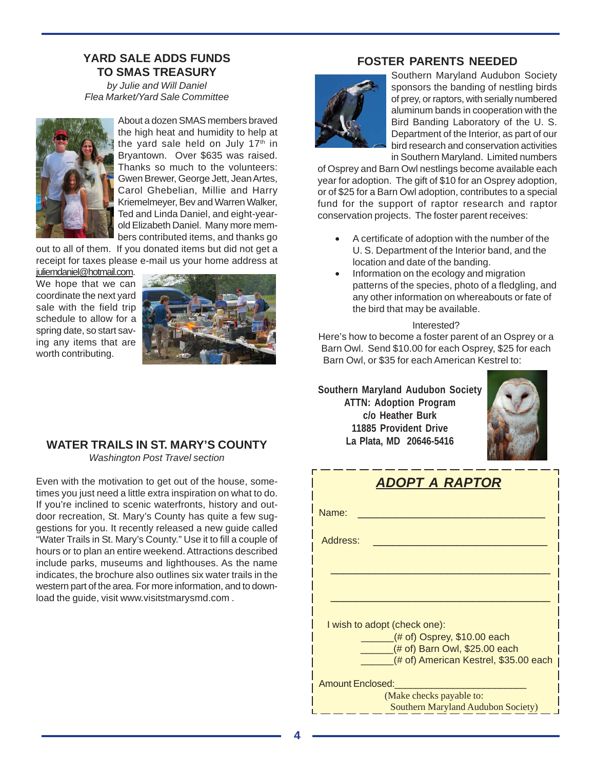### **YARD SALE ADDS FUNDS TO SMAS TREASURY**

*by Julie and Will Daniel Flea Market/Yard Sale Committee*



About a dozen SMAS members braved the high heat and humidity to help at the yard sale held on July 17<sup>th</sup> in Bryantown. Over \$635 was raised. Thanks so much to the volunteers: Gwen Brewer, George Jett, Jean Artes, Carol Ghebelian, Millie and Harry Kriemelmeyer, Bev and Warren Walker, Ted and Linda Daniel, and eight-yearold Elizabeth Daniel. Many more members contributed items, and thanks go

out to all of them. If you donated items but did not get a receipt for taxes please e-mail us your home address at

iuliemdaniel@hotmail.com. We hope that we can coordinate the next yard sale with the field trip schedule to allow for a spring date, so start saving any items that are worth contributing.



# **WATER TRAILS IN ST. MARY'S COUNTY**

*Washington Post Travel section*

Even with the motivation to get out of the house, sometimes you just need a little extra inspiration on what to do. If you're inclined to scenic waterfronts, history and outdoor recreation, St. Mary's County has quite a few suggestions for you. It recently released a new guide called "Water Trails in St. Mary's County." Use it to fill a couple of hours or to plan an entire weekend. Attractions described include parks, museums and lighthouses. As the name indicates, the brochure also outlines six water trails in the western part of the area. For more information, and to download the guide, visit www.visitstmarysmd.com .

# **FOSTER PARENTS NEEDED**



Southern Maryland Audubon Society sponsors the banding of nestling birds of prey, or raptors, with serially numbered aluminum bands in cooperation with the Bird Banding Laboratory of the U. S. Department of the Interior, as part of our bird research and conservation activities in Southern Maryland. Limited numbers

of Osprey and Barn Owl nestlings become available each year for adoption. The gift of \$10 for an Osprey adoption, or of \$25 for a Barn Owl adoption, contributes to a special fund for the support of raptor research and raptor conservation projects. The foster parent receives:

- A certificate of adoption with the number of the U. S. Department of the Interior band, and the location and date of the banding.
- Information on the ecology and migration patterns of the species, photo of a fledgling, and any other information on whereabouts or fate of the bird that may be available.

#### Interested?

Here's how to become a foster parent of an Osprey or a Barn Owl. Send \$10.00 for each Osprey, \$25 for each Barn Owl, or \$35 for each American Kestrel to:

**Southern Maryland Audubon Society ATTN: Adoption Program c/o Heather Burk 11885 Provident Drive La Plata, MD 20646-5416**



| ADOPT A RAPTOR                                                  |  |  |  |  |  |  |  |
|-----------------------------------------------------------------|--|--|--|--|--|--|--|
| Name:                                                           |  |  |  |  |  |  |  |
| Address:                                                        |  |  |  |  |  |  |  |
|                                                                 |  |  |  |  |  |  |  |
|                                                                 |  |  |  |  |  |  |  |
| I wish to adopt (check one):                                    |  |  |  |  |  |  |  |
| $($ # of) Osprey, \$10.00 each<br>(# of) Barn Owl, \$25.00 each |  |  |  |  |  |  |  |
| (# of) American Kestrel, \$35.00 each                           |  |  |  |  |  |  |  |
| <b>Amount Enclosed:</b>                                         |  |  |  |  |  |  |  |
| (Make checks payable to:                                        |  |  |  |  |  |  |  |
| Southern Maryland Audubon Society)                              |  |  |  |  |  |  |  |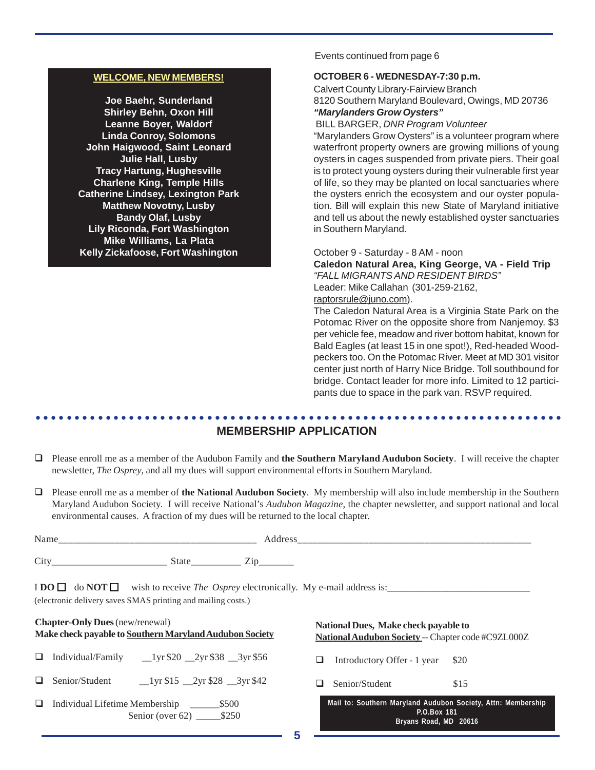#### **WELCOME, NEW MEMBERS!**

**Joe Baehr, Sunderland Shirley Behn, Oxon Hill Leanne Boyer, Waldorf Linda Conroy, Solomons John Haigwood, Saint Leonard Julie Hall, Lusby Tracy Hartung, Hughesville Charlene King, Temple Hills Catherine Lindsey, Lexington Park Matthew Novotny, Lusby Bandy Olaf, Lusby Lily Riconda, Fort Washington Mike Williams, La Plata Kelly Zickafoose, Fort Washington**

Events continued from page 6

#### **OCTOBER 6 - WEDNESDAY-7:30 p.m.**

Calvert County Library-Fairview Branch 8120 Southern Maryland Boulevard, Owings, MD 20736 *"Marylanders Grow Oysters"*

BILL BARGER, *DNR Program Volunteer*

"Marylanders Grow Oysters" is a volunteer program where waterfront property owners are growing millions of young oysters in cages suspended from private piers. Their goal is to protect young oysters during their vulnerable first year of life, so they may be planted on local sanctuaries where the oysters enrich the ecosystem and our oyster population. Bill will explain this new State of Maryland initiative and tell us about the newly established oyster sanctuaries in Southern Maryland.

October 9 - Saturday - 8 AM - noon

**Caledon Natural Area, King George, VA - Field Trip** *"FALL MIGRANTS AND RESIDENT BIRDS"* Leader: Mike Callahan (301-259-2162, raptorsrule@juno.com).

The Caledon Natural Area is a Virginia State Park on the Potomac River on the opposite shore from Nanjemoy. \$3 per vehicle fee, meadow and river bottom habitat, known for Bald Eagles (at least 15 in one spot!), Red-headed Woodpeckers too. On the Potomac River. Meet at MD 301 visitor center just north of Harry Nice Bridge. Toll southbound for bridge. Contact leader for more info. Limited to 12 participants due to space in the park van. RSVP required.

#### ○○○○○○○○○○○○○○○○○○○○○○○○○○○○○○○○○○○○○○○○○○○○ ○○○○○○○○○○○○○○○○○○○○○○○○ **MEMBERSHIP APPLICATION**

- Please enroll me as a member of the Audubon Family and **the Southern Maryland Audubon Society**. I will receive the chapter newsletter, *The Osprey*, and all my dues will support environmental efforts in Southern Maryland.
- Please enroll me as a member of **the National Audubon Society**. My membership will also include membership in the Southern Maryland Audubon Society. I will receive National's *Audubon Magazine*, the chapter newsletter, and support national and local environmental causes. A fraction of my dues will be returned to the local chapter.

| Name |       |           |
|------|-------|-----------|
| City | State | <u>_</u>  |
|      |       | _________ |

I **DO**  $\Box$  do **NOT** wish to receive *The Osprey* electronically. My e-mail address is: (electronic delivery saves SMAS printing and mailing costs.)

| <b>Chapter-Only Dues</b> (new/renewal)                  |
|---------------------------------------------------------|
| Make check payable to Southern Maryland Audubon Society |
|                                                         |

- $\Box$  Individual/Family  $\Box$ 1yr \$20  $\Box$ 2yr \$38  $\Box$ 3yr \$56
- $\Box$  Senior/Student  $\Box$ 1yr \$15  $\Box$ 2yr \$28  $\Box$ 3yr \$42
- Individual Lifetime Membership \_\_\_\_\_\_\$500 Senior (over 62) \_\_\_\_\_\_\_ \$250

**National Dues, Make check payable to National Audubon Society** -- Chapter code #C9ZL000Z

 $\Box$  Introductory Offer - 1 year \$20

 $\Box$  Senior/Student \$15

|             |  |  |                       |  |  |  |  | Mail to: Southern Maryland Audubon Society, Attn: Membership |  |  |
|-------------|--|--|-----------------------|--|--|--|--|--------------------------------------------------------------|--|--|
| P.O.Box 181 |  |  |                       |  |  |  |  |                                                              |  |  |
|             |  |  | Bryans Road, MD 20616 |  |  |  |  |                                                              |  |  |